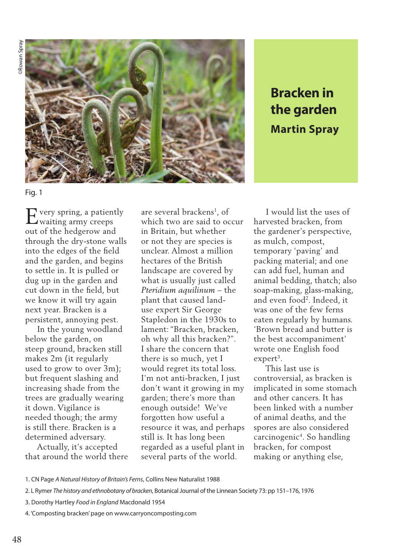

## **Bracken in the garden Martin Spray**

Fig. 1

very spring, a patiently E very spring, a patient<br>
Waiting army creeps out of the hedgerow and through the dry-stone walls into the edges of the field and the garden, and begins to settle in. It is pulled or dug up in the garden and cut down in the field, but we know it will try again next year. Bracken is a persistent, annoying pest.

 In the young woodland below the garden, on steep ground, bracken still makes 2m (it regularly used to grow to over 3m); but frequent slashing and increasing shade from the trees are gradually wearing it down. Vigilance is needed though; the army is still there. Bracken is a determined adversary.

 Actually, it's accepted that around the world there

are several brackens<sup>1</sup>, of which two are said to occur in Britain, but whether or not they are species is unclear. Almost a million hectares of the British landscape are covered by what is usually just called *Pteridium aquilinum* – the plant that caused landuse expert Sir George Stapledon in the 1930s to lament: "Bracken, bracken, oh why all this bracken?". I share the concern that there is so much, yet I would regret its total loss. I'm not anti-bracken, I just don't want it growing in my garden; there's more than enough outside! We've forgotten how useful a resource it was, and perhaps still is. It has long been regarded as a useful plant in several parts of the world.

 I would list the uses of harvested bracken, from the gardener's perspective, as mulch, compost, temporary 'paving' and packing material; and one can add fuel, human and animal bedding, thatch; also soap-making, glass-making, and even food2. Indeed, it was one of the few ferns eaten regularly by humans. 'Brown bread and butter is the best accompaniment' wrote one English food  $exnet<sup>3</sup>$ .

 This last use is controversial, as bracken is implicated in some stomach and other cancers. It has been linked with a number of animal deaths, and the spores are also considered carcinogenic<sup>4</sup>. So handling bracken, for compost making or anything else,

- 1. CN Page *A Natural History of Britain's Ferns*, Collins New Naturalist 1988
- 2. L Rymer *The history and ethnobotany of bracken*, Botanical Journal of the Linnean Society 73: pp 151–176, 1976
- 3. Dorothy Hartley *Food in England* Macdonald 1954
- 4. 'Composting bracken' page on www.carryoncomposting.com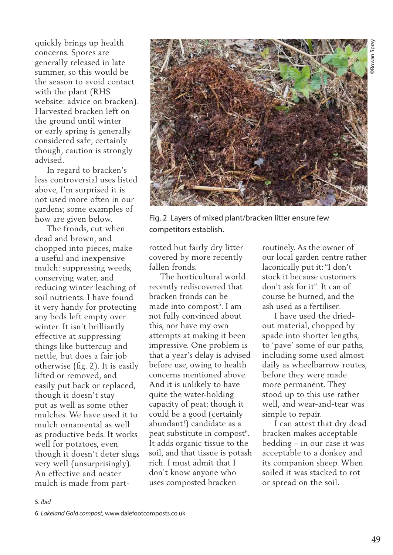quickly brings up health concerns. Spores are generally released in late summer, so this would be the season to avoid contact with the plant (RHS website: advice on bracken). Harvested bracken left on the ground until winter or early spring is generally considered safe; certainly though, caution is strongly advised.

 In regard to bracken's less controversial uses listed above, I'm surprised it is not used more often in our gardens; some examples of how are given below.

 The fronds, cut when dead and brown, and chopped into pieces, make a useful and inexpensive mulch: suppressing weeds, conserving water, and reducing winter leaching of soil nutrients. I have found it very handy for protecting any beds left empty over winter. It isn't brilliantly effective at suppressing things like buttercup and nettle, but does a fair job otherwise (fig. 2). It is easily lifted or removed, and easily put back or replaced, though it doesn't stay put as well as some other mulches. We have used it to mulch ornamental as well as productive beds. It works well for potatoes, even though it doesn't deter slugs very well (unsurprisingly). An effective and neater mulch is made from part-



Fig. 2 Layers of mixed plant/bracken litter ensure few competitors establish.

rotted but fairly dry litter covered by more recently fallen fronds.

 The horticultural world recently rediscovered that bracken fronds can be made into compost<sup>5</sup>. I am not fully convinced about this, nor have my own attempts at making it been impressive. One problem is that a year's delay is advised before use, owing to health concerns mentioned above. And it is unlikely to have quite the water-holding capacity of peat; though it could be a good (certainly abundant!) candidate as a peat substitute in compost<sup>6</sup>. It adds organic tissue to the soil, and that tissue is potash rich. I must admit that I don't know anyone who uses composted bracken

routinely. As the owner of our local garden centre rather laconically put it: "I don't stock it because customers don't ask for it". It can of course be burned, and the ash used as a fertiliser.

 I have used the driedout material, chopped by spade into shorter lengths, to 'pave' some of our paths, including some used almost daily as wheelbarrow routes, before they were made more permanent. They stood up to this use rather well, and wear-and-tear was simple to repair.

 I can attest that dry dead bracken makes acceptable bedding – in our case it was acceptable to a donkey and its companion sheep. When soiled it was stacked to rot or spread on the soil.

## 5. *Ibid*

<sup>6.</sup> *Lakeland Gold compost,* www.dalefootcomposts.co.uk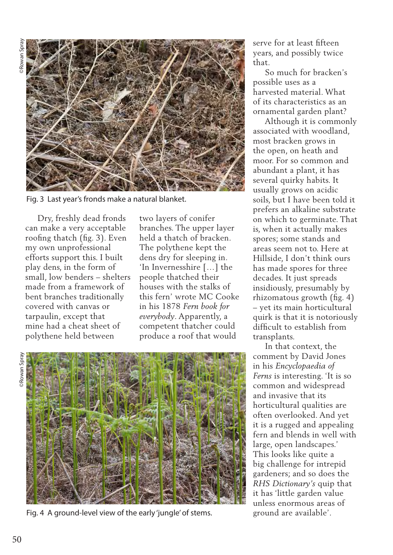

Fig. 3 Last year's fronds make a natural blanket.

 Dry, freshly dead fronds can make a very acceptable roofing thatch (fig. 3). Even my own unprofessional efforts support this. I built play dens, in the form of small, low benders – shelters made from a framework of bent branches traditionally covered with canvas or tarpaulin, except that mine had a cheat sheet of polythene held between

two layers of conifer branches. The upper layer held a thatch of bracken. The polythene kept the dens dry for sleeping in. 'In Invernesshire […] the people thatched their houses with the stalks of this fern' wrote MC Cooke in his 1878 *Fern book for everybody*. Apparently, a competent thatcher could produce a roof that would

©Rowan Spray **Bowan Spray** 



Fig. 4 A ground-level view of the early 'jungle' of stems.

serve for at least fifteen years, and possibly twice that.

 So much for bracken's possible uses as a harvested material. What of its characteristics as an ornamental garden plant?

 Although it is commonly associated with woodland, most bracken grows in the open, on heath and moor. For so common and abundant a plant, it has several quirky habits. It usually grows on acidic soils, but I have been told it prefers an alkaline substrate on which to germinate. That is, when it actually makes spores; some stands and areas seem not to. Here at Hillside, I don't think ours has made spores for three decades. It just spreads insidiously, presumably by rhizomatous growth (fig. 4) – yet its main horticultural quirk is that it is notoriously difficult to establish from transplants.

 In that context, the comment by David Jones in his *Encyclopaedia of Ferns* is interesting. 'It is so common and widespread and invasive that its horticultural qualities are often overlooked. And yet it is a rugged and appealing fern and blends in well with large, open landscapes.' This looks like quite a big challenge for intrepid gardeners; and so does the *RHS Dictionary's* quip that it has 'little garden value unless enormous areas of ground are available'.